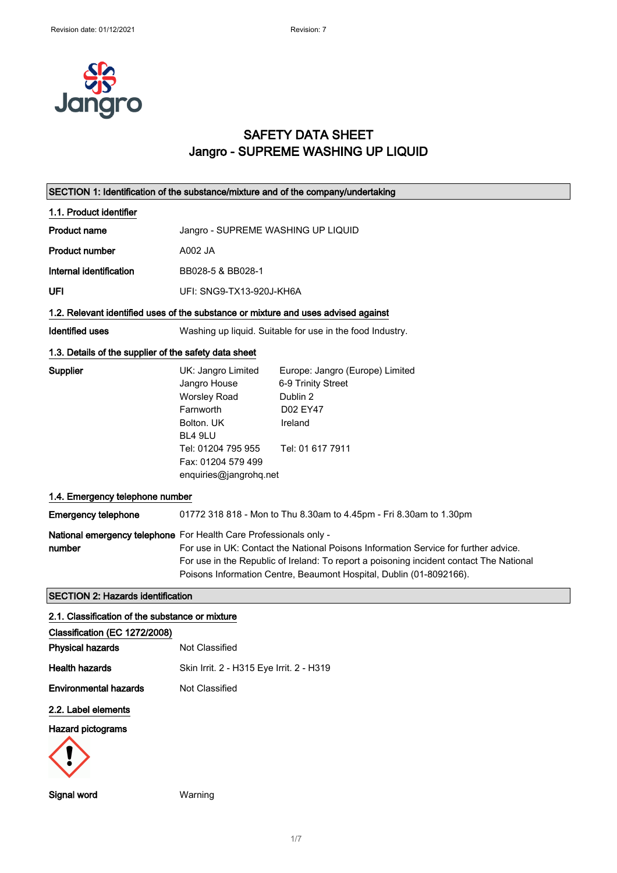

# SAFETY DATA SHEET Jangro - SUPREME WASHING UP LIQUID

|                                                                                    | SECTION 1: Identification of the substance/mixture and of the company/undertaking                                                                                                                                                                                                                                          |  |
|------------------------------------------------------------------------------------|----------------------------------------------------------------------------------------------------------------------------------------------------------------------------------------------------------------------------------------------------------------------------------------------------------------------------|--|
| 1.1. Product identifier                                                            |                                                                                                                                                                                                                                                                                                                            |  |
| <b>Product name</b>                                                                | Jangro - SUPREME WASHING UP LIQUID                                                                                                                                                                                                                                                                                         |  |
| <b>Product number</b>                                                              | A002 JA                                                                                                                                                                                                                                                                                                                    |  |
| Internal identification                                                            | BB028-5 & BB028-1                                                                                                                                                                                                                                                                                                          |  |
| UFI                                                                                | UFI: SNG9-TX13-920J-KH6A                                                                                                                                                                                                                                                                                                   |  |
| 1.2. Relevant identified uses of the substance or mixture and uses advised against |                                                                                                                                                                                                                                                                                                                            |  |
| Identified uses                                                                    | Washing up liquid. Suitable for use in the food Industry.                                                                                                                                                                                                                                                                  |  |
| 1.3. Details of the supplier of the safety data sheet                              |                                                                                                                                                                                                                                                                                                                            |  |
| Supplier                                                                           | UK: Jangro Limited<br>Europe: Jangro (Europe) Limited<br>6-9 Trinity Street<br>Jangro House<br><b>Worsley Road</b><br>Dublin 2<br>Farnworth<br>D02 EY47<br>Bolton, UK<br>Ireland<br>BL4 9LU<br>Tel: 01204 795 955<br>Tel: 01 617 7911<br>Fax: 01204 579 499<br>enquiries@jangrohq.net                                      |  |
| 1.4. Emergency telephone number                                                    |                                                                                                                                                                                                                                                                                                                            |  |
| <b>Emergency telephone</b>                                                         | 01772 318 818 - Mon to Thu 8.30am to 4.45pm - Fri 8.30am to 1.30pm                                                                                                                                                                                                                                                         |  |
| number                                                                             | National emergency telephone For Health Care Professionals only -<br>For use in UK: Contact the National Poisons Information Service for further advice.<br>For use in the Republic of Ireland: To report a poisoning incident contact The National<br>Poisons Information Centre, Beaumont Hospital, Dublin (01-8092166). |  |
| <b>SECTION 2: Hazards identification</b>                                           |                                                                                                                                                                                                                                                                                                                            |  |
| 2.1. Classification of the substance or mixture                                    |                                                                                                                                                                                                                                                                                                                            |  |
| Classification (EC 1272/2008)<br><b>Physical hazards</b>                           | Not Classified                                                                                                                                                                                                                                                                                                             |  |
| <b>Health hazards</b>                                                              | Skin Irrit. 2 - H315 Eye Irrit. 2 - H319                                                                                                                                                                                                                                                                                   |  |
| <b>Environmental hazards</b>                                                       | Not Classified                                                                                                                                                                                                                                                                                                             |  |
| 2.2. Label elements<br><b>Hazard pictograms</b>                                    |                                                                                                                                                                                                                                                                                                                            |  |

Signal word Warning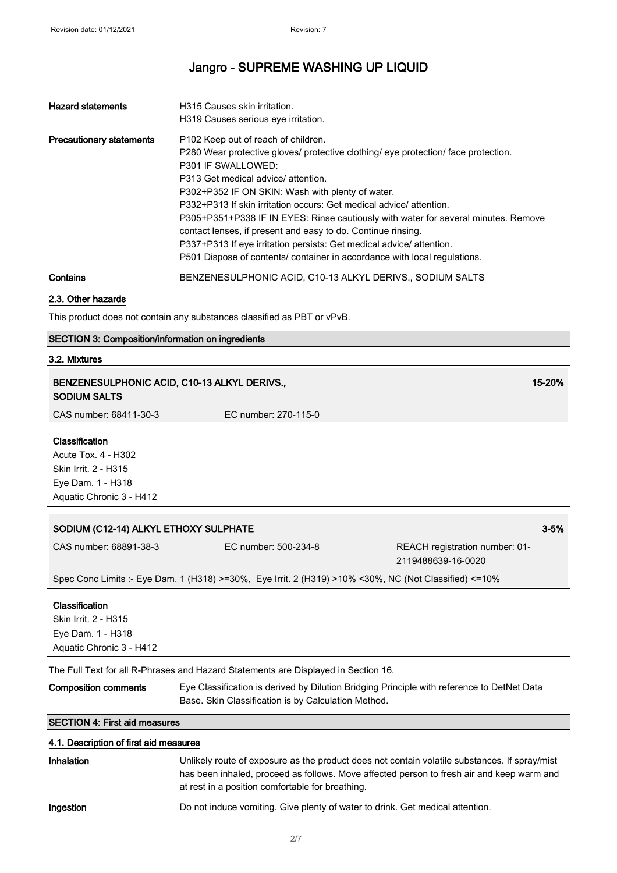| <b>Hazard statements</b>        | H315 Causes skin irritation.<br>H319 Causes serious eve irritation.                                                                                                                                                                                                                                                                                                                                                                                                                                                                                                                                                        |
|---------------------------------|----------------------------------------------------------------------------------------------------------------------------------------------------------------------------------------------------------------------------------------------------------------------------------------------------------------------------------------------------------------------------------------------------------------------------------------------------------------------------------------------------------------------------------------------------------------------------------------------------------------------------|
| <b>Precautionary statements</b> | P102 Keep out of reach of children.<br>P280 Wear protective gloves/ protective clothing/ eye protection/ face protection.<br>P301 IF SWALLOWED:<br>P313 Get medical advice/ attention.<br>P302+P352 IF ON SKIN: Wash with plenty of water.<br>P332+P313 If skin irritation occurs: Get medical advice/attention.<br>P305+P351+P338 IF IN EYES: Rinse cautiously with water for several minutes. Remove<br>contact lenses, if present and easy to do. Continue rinsing.<br>P337+P313 If eye irritation persists: Get medical advice/attention.<br>P501 Dispose of contents/ container in accordance with local regulations. |
| Contains                        | BENZENESULPHONIC ACID, C10-13 ALKYL DERIVS., SODIUM SALTS                                                                                                                                                                                                                                                                                                                                                                                                                                                                                                                                                                  |

#### 2.3. Other hazards

This product does not contain any substances classified as PBT or vPvB.

## SECTION 3: Composition/information on ingredients

#### 3.2. Mixtures

| <b>SODIUM SALTS</b>                                                                | BENZENESULPHONIC ACID, C10-13 ALKYL DERIVS.,                                                          | 15-20%                                                                                     |
|------------------------------------------------------------------------------------|-------------------------------------------------------------------------------------------------------|--------------------------------------------------------------------------------------------|
| CAS number: 68411-30-3                                                             | EC number: 270-115-0                                                                                  |                                                                                            |
| Classification                                                                     |                                                                                                       |                                                                                            |
| Acute Tox. 4 - H302                                                                |                                                                                                       |                                                                                            |
| Skin Irrit. 2 - H315                                                               |                                                                                                       |                                                                                            |
| Eye Dam. 1 - H318                                                                  |                                                                                                       |                                                                                            |
| Aquatic Chronic 3 - H412                                                           |                                                                                                       |                                                                                            |
| SODIUM (C12-14) ALKYL ETHOXY SULPHATE                                              |                                                                                                       | $3 - 5%$                                                                                   |
| CAS number: 68891-38-3                                                             | EC number: 500-234-8                                                                                  | REACH registration number: 01-<br>2119488639-16-0020                                       |
|                                                                                    | Spec Conc Limits :- Eye Dam. 1 (H318) >=30%, Eye Irrit. 2 (H319) >10% <30%, NC (Not Classified) <=10% |                                                                                            |
| Classification<br>Skin Irrit. 2 - H315                                             |                                                                                                       |                                                                                            |
| Eye Dam. 1 - H318                                                                  |                                                                                                       |                                                                                            |
| Aquatic Chronic 3 - H412                                                           |                                                                                                       |                                                                                            |
| The Full Text for all R-Phrases and Hazard Statements are Displayed in Section 16. |                                                                                                       |                                                                                            |
| <b>Composition comments</b>                                                        | Base. Skin Classification is by Calculation Method.                                                   | Eye Classification is derived by Dilution Bridging Principle with reference to DetNet Data |
| <b>SECTION 4: First aid measures</b>                                               |                                                                                                       |                                                                                            |

# 4.1. Description of first aid measures Inhalation Unlikely route of exposure as the product does not contain volatile substances. If spray/mist has been inhaled, proceed as follows. Move affected person to fresh air and keep warm and at rest in a position comfortable for breathing. Ingestion Do not induce vomiting. Give plenty of water to drink. Get medical attention.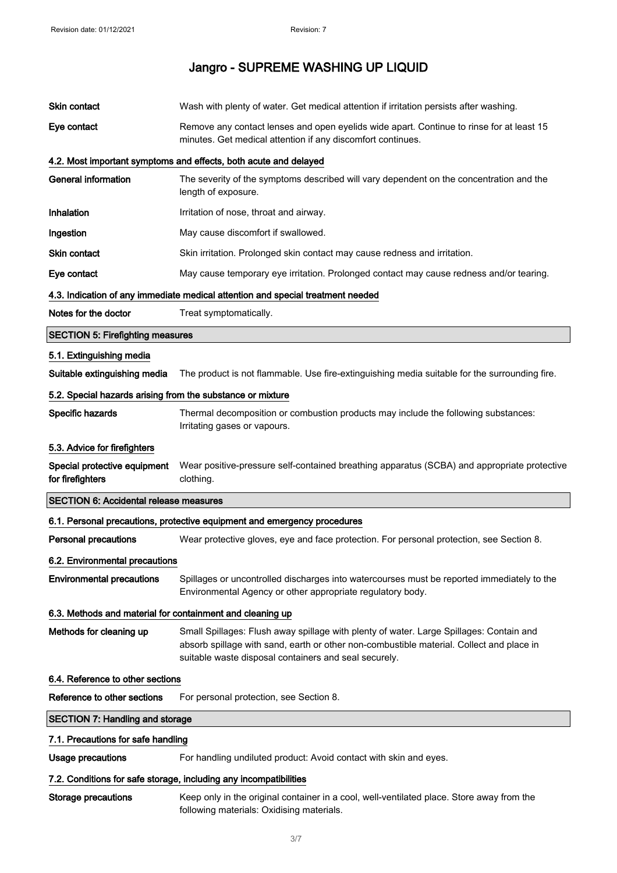| Skin contact                                               | Wash with plenty of water. Get medical attention if irritation persists after washing.                                                                                                                                                       |
|------------------------------------------------------------|----------------------------------------------------------------------------------------------------------------------------------------------------------------------------------------------------------------------------------------------|
| Eye contact                                                | Remove any contact lenses and open eyelids wide apart. Continue to rinse for at least 15<br>minutes. Get medical attention if any discomfort continues.                                                                                      |
|                                                            | 4.2. Most important symptoms and effects, both acute and delayed                                                                                                                                                                             |
| <b>General information</b>                                 | The severity of the symptoms described will vary dependent on the concentration and the<br>length of exposure.                                                                                                                               |
| Inhalation                                                 | Irritation of nose, throat and airway.                                                                                                                                                                                                       |
| Ingestion                                                  | May cause discomfort if swallowed.                                                                                                                                                                                                           |
| <b>Skin contact</b>                                        | Skin irritation. Prolonged skin contact may cause redness and irritation.                                                                                                                                                                    |
| Eye contact                                                | May cause temporary eye irritation. Prolonged contact may cause redness and/or tearing.                                                                                                                                                      |
|                                                            | 4.3. Indication of any immediate medical attention and special treatment needed                                                                                                                                                              |
| Notes for the doctor                                       | Treat symptomatically.                                                                                                                                                                                                                       |
| <b>SECTION 5: Firefighting measures</b>                    |                                                                                                                                                                                                                                              |
| 5.1. Extinguishing media                                   |                                                                                                                                                                                                                                              |
| Suitable extinguishing media                               | The product is not flammable. Use fire-extinguishing media suitable for the surrounding fire.                                                                                                                                                |
| 5.2. Special hazards arising from the substance or mixture |                                                                                                                                                                                                                                              |
| Specific hazards                                           | Thermal decomposition or combustion products may include the following substances:<br>Irritating gases or vapours.                                                                                                                           |
| 5.3. Advice for firefighters                               |                                                                                                                                                                                                                                              |
|                                                            |                                                                                                                                                                                                                                              |
| Special protective equipment<br>for firefighters           | Wear positive-pressure self-contained breathing apparatus (SCBA) and appropriate protective<br>clothing.                                                                                                                                     |
| <b>SECTION 6: Accidental release measures</b>              |                                                                                                                                                                                                                                              |
|                                                            | 6.1. Personal precautions, protective equipment and emergency procedures                                                                                                                                                                     |
| Personal precautions                                       | Wear protective gloves, eye and face protection. For personal protection, see Section 8.                                                                                                                                                     |
| 6.2. Environmental precautions                             |                                                                                                                                                                                                                                              |
| <b>Environmental precautions</b>                           | Spillages or uncontrolled discharges into watercourses must be reported immediately to the<br>Environmental Agency or other appropriate regulatory body.                                                                                     |
| 6.3. Methods and material for containment and cleaning up  |                                                                                                                                                                                                                                              |
| Methods for cleaning up                                    | Small Spillages: Flush away spillage with plenty of water. Large Spillages: Contain and<br>absorb spillage with sand, earth or other non-combustible material. Collect and place in<br>suitable waste disposal containers and seal securely. |
| 6.4. Reference to other sections                           |                                                                                                                                                                                                                                              |
| Reference to other sections                                | For personal protection, see Section 8.                                                                                                                                                                                                      |
| <b>SECTION 7: Handling and storage</b>                     |                                                                                                                                                                                                                                              |
| 7.1. Precautions for safe handling                         |                                                                                                                                                                                                                                              |
| <b>Usage precautions</b>                                   | For handling undiluted product: Avoid contact with skin and eyes.                                                                                                                                                                            |
|                                                            | 7.2. Conditions for safe storage, including any incompatibilities                                                                                                                                                                            |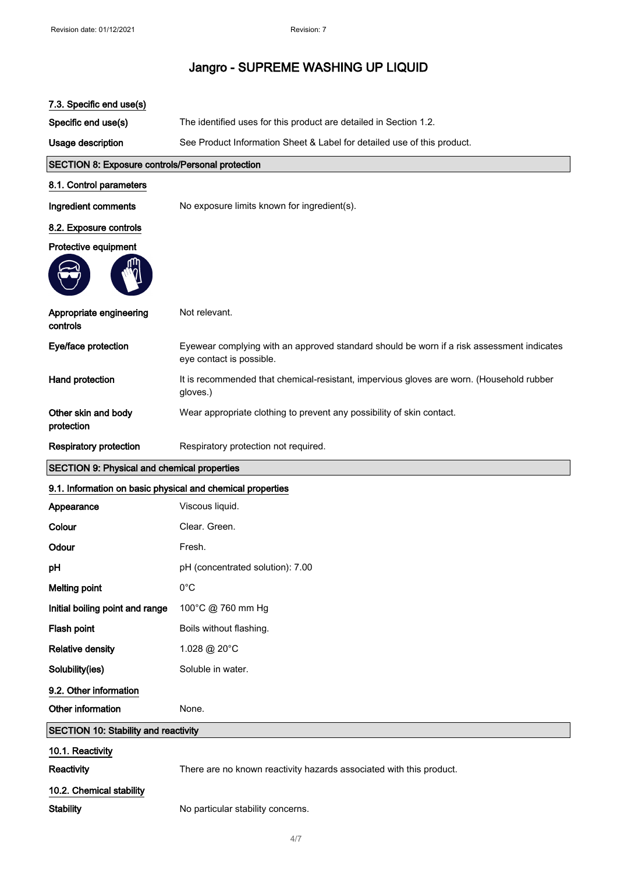| 7.3. Specific end use(s)                                   |                                                                                                                       |  |
|------------------------------------------------------------|-----------------------------------------------------------------------------------------------------------------------|--|
| Specific end use(s)                                        | The identified uses for this product are detailed in Section 1.2.                                                     |  |
| Usage description                                          | See Product Information Sheet & Label for detailed use of this product.                                               |  |
| <b>SECTION 8: Exposure controls/Personal protection</b>    |                                                                                                                       |  |
| 8.1. Control parameters                                    |                                                                                                                       |  |
| Ingredient comments                                        | No exposure limits known for ingredient(s).                                                                           |  |
| 8.2. Exposure controls                                     |                                                                                                                       |  |
| Protective equipment                                       |                                                                                                                       |  |
|                                                            |                                                                                                                       |  |
| Appropriate engineering<br>controls                        | Not relevant.                                                                                                         |  |
| Eye/face protection                                        | Eyewear complying with an approved standard should be worn if a risk assessment indicates<br>eye contact is possible. |  |
| Hand protection                                            | It is recommended that chemical-resistant, impervious gloves are worn. (Household rubber<br>gloves.)                  |  |
| Other skin and body<br>protection                          | Wear appropriate clothing to prevent any possibility of skin contact.                                                 |  |
| <b>Respiratory protection</b>                              | Respiratory protection not required.                                                                                  |  |
| <b>SECTION 9: Physical and chemical properties</b>         |                                                                                                                       |  |
|                                                            |                                                                                                                       |  |
| 9.1. Information on basic physical and chemical properties |                                                                                                                       |  |
| Appearance                                                 | Viscous liquid.                                                                                                       |  |
| Colour                                                     | Clear. Green.                                                                                                         |  |
| Odour                                                      | Fresh.                                                                                                                |  |
| pH                                                         | pH (concentrated solution): 7.00                                                                                      |  |
| <b>Melting point</b>                                       | $0^{\circ}$ C                                                                                                         |  |
| Initial boiling point and range                            | 100°C @ 760 mm Hg                                                                                                     |  |
| Flash point                                                | Boils without flashing.                                                                                               |  |
| <b>Relative density</b>                                    | 1.028 @ 20°C                                                                                                          |  |
| Solubility(ies)                                            | Soluble in water.                                                                                                     |  |
| 9.2. Other information                                     |                                                                                                                       |  |
| Other information                                          | None.                                                                                                                 |  |
| SECTION 10: Stability and reactivity                       |                                                                                                                       |  |
| 10.1. Reactivity                                           |                                                                                                                       |  |
| Reactivity                                                 | There are no known reactivity hazards associated with this product.                                                   |  |
| 10.2. Chemical stability                                   |                                                                                                                       |  |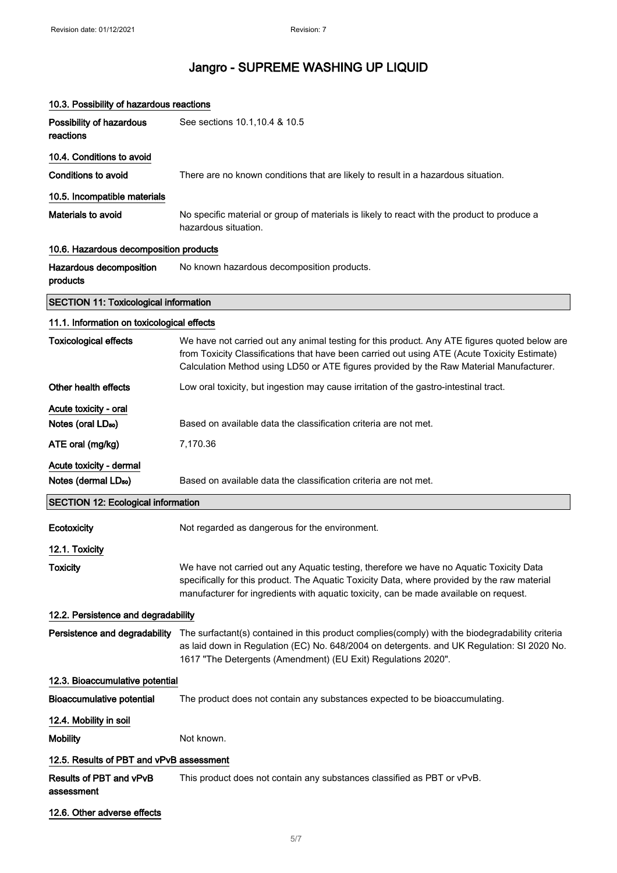| 10.3. Possibility of hazardous reactions                |                                                                                                                                                                                                                                                                                          |  |
|---------------------------------------------------------|------------------------------------------------------------------------------------------------------------------------------------------------------------------------------------------------------------------------------------------------------------------------------------------|--|
| Possibility of hazardous<br>reactions                   | See sections 10.1, 10.4 & 10.5                                                                                                                                                                                                                                                           |  |
| 10.4. Conditions to avoid                               |                                                                                                                                                                                                                                                                                          |  |
| <b>Conditions to avoid</b>                              | There are no known conditions that are likely to result in a hazardous situation.                                                                                                                                                                                                        |  |
| 10.5. Incompatible materials                            |                                                                                                                                                                                                                                                                                          |  |
| Materials to avoid                                      | No specific material or group of materials is likely to react with the product to produce a<br>hazardous situation.                                                                                                                                                                      |  |
| 10.6. Hazardous decomposition products                  |                                                                                                                                                                                                                                                                                          |  |
| Hazardous decomposition<br>products                     | No known hazardous decomposition products.                                                                                                                                                                                                                                               |  |
| <b>SECTION 11: Toxicological information</b>            |                                                                                                                                                                                                                                                                                          |  |
| 11.1. Information on toxicological effects              |                                                                                                                                                                                                                                                                                          |  |
| <b>Toxicological effects</b>                            | We have not carried out any animal testing for this product. Any ATE figures quoted below are<br>from Toxicity Classifications that have been carried out using ATE (Acute Toxicity Estimate)<br>Calculation Method using LD50 or ATE figures provided by the Raw Material Manufacturer. |  |
| Other health effects                                    | Low oral toxicity, but ingestion may cause irritation of the gastro-intestinal tract.                                                                                                                                                                                                    |  |
| Acute toxicity - oral<br>Notes (oral LD <sub>50</sub> ) | Based on available data the classification criteria are not met.                                                                                                                                                                                                                         |  |
| ATE oral (mg/kg)                                        | 7,170.36                                                                                                                                                                                                                                                                                 |  |
| Acute toxicity - dermal                                 |                                                                                                                                                                                                                                                                                          |  |
| Notes (dermal LD <sub>50</sub> )                        | Based on available data the classification criteria are not met.                                                                                                                                                                                                                         |  |
| <b>SECTION 12: Ecological information</b>               |                                                                                                                                                                                                                                                                                          |  |
| Ecotoxicity                                             | Not regarded as dangerous for the environment.                                                                                                                                                                                                                                           |  |
| 12.1. Toxicity                                          |                                                                                                                                                                                                                                                                                          |  |
| <b>Toxicity</b>                                         | We have not carried out any Aquatic testing, therefore we have no Aquatic Toxicity Data<br>specifically for this product. The Aquatic Toxicity Data, where provided by the raw material<br>manufacturer for ingredients with aquatic toxicity, can be made available on request.         |  |
| 12.2. Persistence and degradability                     |                                                                                                                                                                                                                                                                                          |  |
| Persistence and degradability                           | The surfactant(s) contained in this product complies(comply) with the biodegradability criteria<br>as laid down in Regulation (EC) No. 648/2004 on detergents. and UK Regulation: SI 2020 No.<br>1617 "The Detergents (Amendment) (EU Exit) Regulations 2020".                           |  |
| 12.3. Bioaccumulative potential                         |                                                                                                                                                                                                                                                                                          |  |
| <b>Bioaccumulative potential</b>                        | The product does not contain any substances expected to be bioaccumulating.                                                                                                                                                                                                              |  |
| 12.4. Mobility in soil                                  |                                                                                                                                                                                                                                                                                          |  |
|                                                         |                                                                                                                                                                                                                                                                                          |  |
| <b>Mobility</b>                                         | Not known.                                                                                                                                                                                                                                                                               |  |
| 12.5. Results of PBT and vPvB assessment                |                                                                                                                                                                                                                                                                                          |  |
| Results of PBT and vPvB<br>assessment                   | This product does not contain any substances classified as PBT or vPvB.                                                                                                                                                                                                                  |  |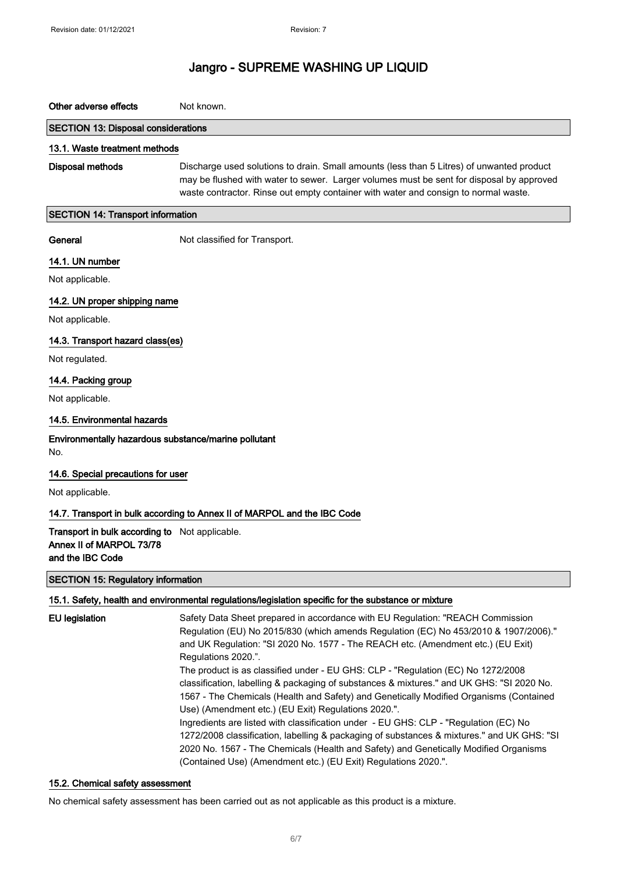## Other adverse effects Not known.

### SECTION 13: Disposal considerations

#### 13.1. Waste treatment methods

Disposal methods Discharge used solutions to drain. Small amounts (less than 5 Litres) of unwanted product may be flushed with water to sewer. Larger volumes must be sent for disposal by approved waste contractor. Rinse out empty container with water and consign to normal waste.

#### SECTION 14: Transport information

General Not classified for Transport.

## 14.1. UN number

Not applicable.

## 14.2. UN proper shipping name

Not applicable.

## 14.3. Transport hazard class(es)

Not regulated.

### 14.4. Packing group

Not applicable.

### 14.5. Environmental hazards

# Environmentally hazardous substance/marine pollutant

No.

### 14.6. Special precautions for user

Not applicable.

## 14.7. Transport in bulk according to Annex II of MARPOL and the IBC Code

Transport in bulk according to Not applicable. Annex II of MARPOL 73/78 and the IBC Code

### SECTION 15: Regulatory information

### 15.1. Safety, health and environmental regulations/legislation specific for the substance or mixture

| EU legislation | Safety Data Sheet prepared in accordance with EU Regulation: "REACH Commission<br>Regulation (EU) No 2015/830 (which amends Regulation (EC) No 453/2010 & 1907/2006)."<br>and UK Regulation: "SI 2020 No. 1577 - The REACH etc. (Amendment etc.) (EU Exit)<br>Regulations 2020.".<br>The product is as classified under - EU GHS: CLP - "Regulation (EC) No 1272/2008<br>classification, labelling & packaging of substances & mixtures." and UK GHS: "SI 2020 No.<br>1567 - The Chemicals (Health and Safety) and Genetically Modified Organisms (Contained<br>Use) (Amendment etc.) (EU Exit) Regulations 2020.".<br>Ingredients are listed with classification under - EU GHS: CLP - "Regulation (EC) No<br>1272/2008 classification, labelling & packaging of substances & mixtures." and UK GHS: "SI |
|----------------|-----------------------------------------------------------------------------------------------------------------------------------------------------------------------------------------------------------------------------------------------------------------------------------------------------------------------------------------------------------------------------------------------------------------------------------------------------------------------------------------------------------------------------------------------------------------------------------------------------------------------------------------------------------------------------------------------------------------------------------------------------------------------------------------------------------|
|                | 2020 No. 1567 - The Chemicals (Health and Safety) and Genetically Modified Organisms                                                                                                                                                                                                                                                                                                                                                                                                                                                                                                                                                                                                                                                                                                                      |
|                | (Contained Use) (Amendment etc.) (EU Exit) Regulations 2020.".                                                                                                                                                                                                                                                                                                                                                                                                                                                                                                                                                                                                                                                                                                                                            |

### 15.2. Chemical safety assessment

No chemical safety assessment has been carried out as not applicable as this product is a mixture.